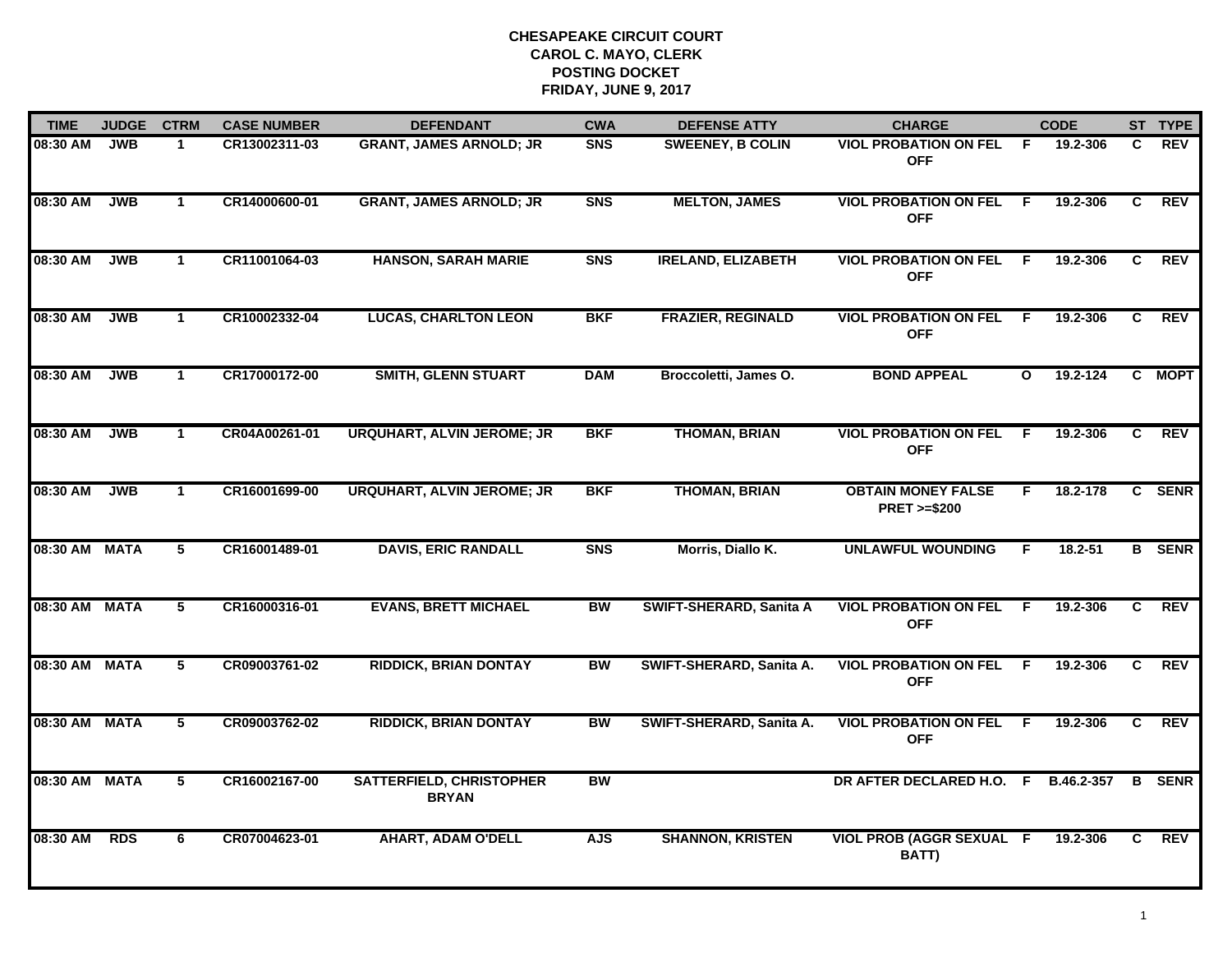| <b>TIME</b>   | <b>JUDGE</b> | <b>CTRM</b>  | <b>CASE NUMBER</b> | <b>DEFENDANT</b>                                | <b>CWA</b> | <b>DEFENSE ATTY</b>       | <b>CHARGE</b>                                       |              | <b>CODE</b>  |    | ST TYPE       |
|---------------|--------------|--------------|--------------------|-------------------------------------------------|------------|---------------------------|-----------------------------------------------------|--------------|--------------|----|---------------|
| 08:30 AM      | <b>JWB</b>   | 1            | CR13002311-03      | <b>GRANT, JAMES ARNOLD; JR</b>                  | <b>SNS</b> | <b>SWEENEY, B COLIN</b>   | <b>VIOL PROBATION ON FEL</b><br><b>OFF</b>          | F.           | 19.2-306     | C. | <b>REV</b>    |
| 08:30 AM      | <b>JWB</b>   | $\mathbf{1}$ | CR14000600-01      | <b>GRANT, JAMES ARNOLD; JR</b>                  | <b>SNS</b> | <b>MELTON, JAMES</b>      | <b>VIOL PROBATION ON FEL</b><br><b>OFF</b>          | F.           | 19.2-306     | C  | <b>REV</b>    |
| 08:30 AM      | <b>JWB</b>   | $\mathbf{1}$ | CR11001064-03      | <b>HANSON, SARAH MARIE</b>                      | <b>SNS</b> | <b>IRELAND, ELIZABETH</b> | <b>VIOL PROBATION ON FEL</b><br><b>OFF</b>          | F.           | 19.2-306     | C. | <b>REV</b>    |
| 08:30 AM      | <b>JWB</b>   | $\mathbf 1$  | CR10002332-04      | <b>LUCAS, CHARLTON LEON</b>                     | <b>BKF</b> | <b>FRAZIER, REGINALD</b>  | <b>VIOL PROBATION ON FEL</b><br><b>OFF</b>          | - F          | 19.2-306     | C. | <b>REV</b>    |
| 08:30 AM      | <b>JWB</b>   | $\mathbf{1}$ | CR17000172-00      | <b>SMITH, GLENN STUART</b>                      | <b>DAM</b> | Broccoletti, James O.     | <b>BOND APPEAL</b>                                  | $\mathbf{o}$ | $19.2 - 124$ |    | C MOPT        |
| 08:30 AM      | <b>JWB</b>   | $\mathbf 1$  | CR04A00261-01      | <b>URQUHART, ALVIN JEROME; JR</b>               | <b>BKF</b> | <b>THOMAN, BRIAN</b>      | <b>VIOL PROBATION ON FEL</b><br><b>OFF</b>          | F.           | 19.2-306     | C  | <b>REV</b>    |
| 08:30 AM      | <b>JWB</b>   | $\mathbf{1}$ | CR16001699-00      | <b>URQUHART, ALVIN JEROME; JR</b>               | <b>BKF</b> | <b>THOMAN, BRIAN</b>      | <b>OBTAIN MONEY FALSE</b><br><b>PRET &gt;=\$200</b> | F.           | 18.2-178     |    | C SENR        |
| 08:30 AM MATA |              | 5            | CR16001489-01      | <b>DAVIS, ERIC RANDALL</b>                      | <b>SNS</b> | Morris, Diallo K.         | <b>UNLAWFUL WOUNDING</b>                            | F            | $18.2 - 51$  |    | <b>B</b> SENR |
| 08:30 AM      | <b>MATA</b>  | 5            | CR16000316-01      | <b>EVANS, BRETT MICHAEL</b>                     | <b>BW</b>  | SWIFT-SHERARD, Sanita A   | <b>VIOL PROBATION ON FEL</b><br><b>OFF</b>          | F.           | 19.2-306     | C  | <b>REV</b>    |
| 08:30 AM MATA |              | 5            | CR09003761-02      | <b>RIDDICK, BRIAN DONTAY</b>                    | <b>BW</b>  | SWIFT-SHERARD, Sanita A.  | <b>VIOL PROBATION ON FEL</b><br><b>OFF</b>          | -F           | 19.2-306     | C  | <b>REV</b>    |
| 08:30 AM MATA |              | 5            | CR09003762-02      | <b>RIDDICK, BRIAN DONTAY</b>                    | BW         | SWIFT-SHERARD, Sanita A.  | <b>VIOL PROBATION ON FEL</b><br><b>OFF</b>          | -F.          | 19.2-306     | C  | <b>REV</b>    |
| 08:30 AM MATA |              | 5            | CR16002167-00      | <b>SATTERFIELD, CHRISTOPHER</b><br><b>BRYAN</b> | <b>BW</b>  |                           | DR AFTER DECLARED H.O. F                            |              | B.46.2-357   | B  | <b>SENR</b>   |
| 08:30 AM      | <b>RDS</b>   | 6            | CR07004623-01      | <b>AHART, ADAM O'DELL</b>                       | <b>AJS</b> | <b>SHANNON, KRISTEN</b>   | <b>VIOL PROB (AGGR SEXUAL F</b><br>BATT)            |              | 19.2-306     | C  | REV           |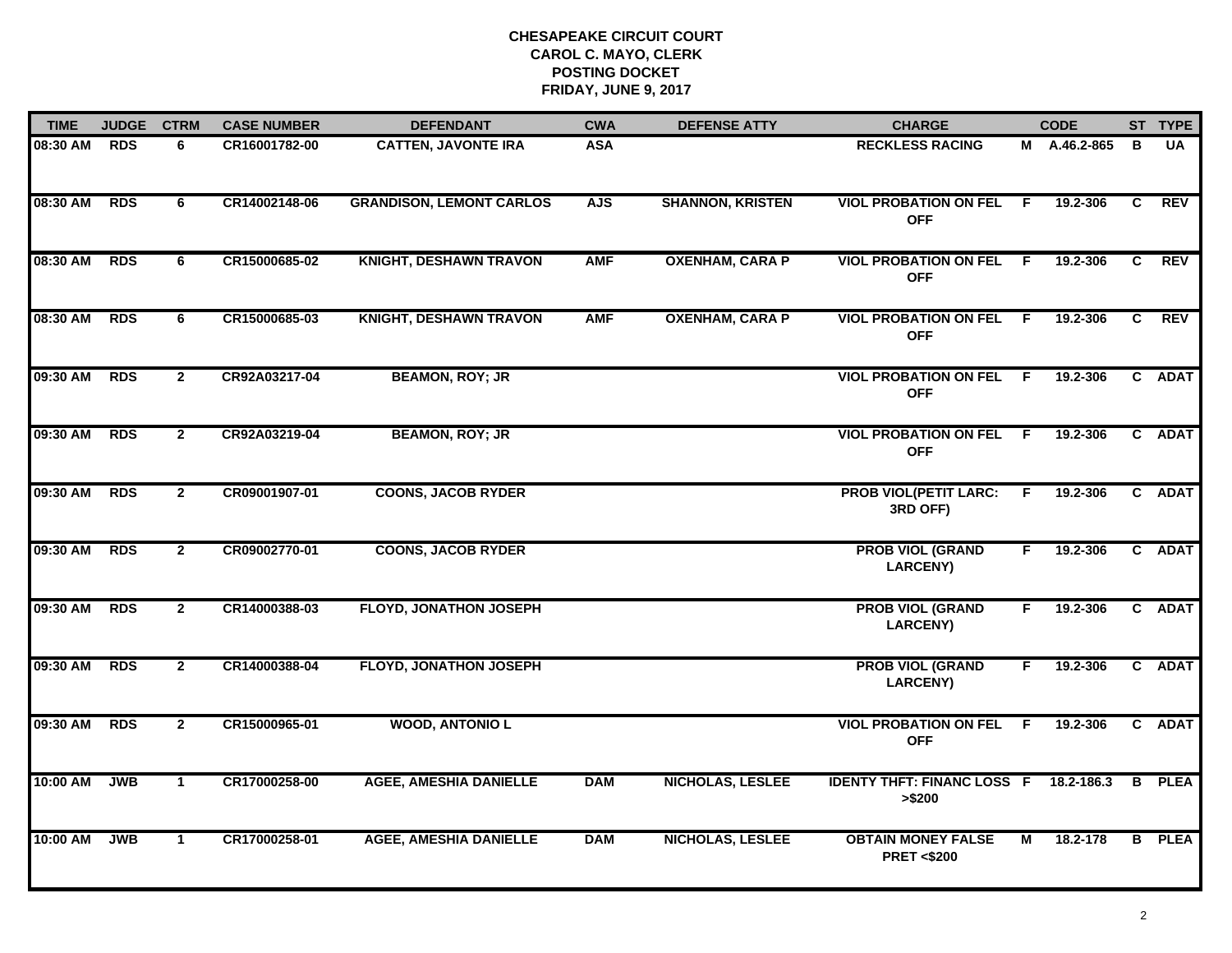| <b>TIME</b> | <b>JUDGE</b> | <b>CTRM</b>    | <b>CASE NUMBER</b> | <b>DEFENDANT</b>                | <b>CWA</b> | <b>DEFENSE ATTY</b>     | <b>CHARGE</b>                                      |                | <b>CODE</b>  |   | ST TYPE       |
|-------------|--------------|----------------|--------------------|---------------------------------|------------|-------------------------|----------------------------------------------------|----------------|--------------|---|---------------|
| 08:30 AM    | <b>RDS</b>   | 6              | CR16001782-00      | <b>CATTEN, JAVONTE IRA</b>      | <b>ASA</b> |                         | <b>RECKLESS RACING</b>                             |                | M A.46.2-865 | в | <b>UA</b>     |
| 08:30 AM    | <b>RDS</b>   | 6              | CR14002148-06      | <b>GRANDISON, LEMONT CARLOS</b> | <b>AJS</b> | <b>SHANNON, KRISTEN</b> | <b>VIOL PROBATION ON FEL</b><br><b>OFF</b>         | - F            | 19.2-306     | C | <b>REV</b>    |
| 08:30 AM    | <b>RDS</b>   | 6              | CR15000685-02      | <b>KNIGHT, DESHAWN TRAVON</b>   | <b>AMF</b> | <b>OXENHAM, CARA P</b>  | <b>VIOL PROBATION ON FEL</b><br><b>OFF</b>         | E              | 19.2-306     | C | <b>REV</b>    |
| 08:30 AM    | <b>RDS</b>   | 6              | CR15000685-03      | <b>KNIGHT, DESHAWN TRAVON</b>   | <b>AMF</b> | <b>OXENHAM, CARA P</b>  | <b>VIOL PROBATION ON FEL F</b><br><b>OFF</b>       |                | 19.2-306     | C | <b>REV</b>    |
| 09:30 AM    | <b>RDS</b>   | $\overline{2}$ | CR92A03217-04      | <b>BEAMON, ROY; JR</b>          |            |                         | <b>VIOL PROBATION ON FEL</b><br><b>OFF</b>         | F.             | 19.2-306     |   | C ADAT        |
| 09:30 AM    | <b>RDS</b>   | $\mathbf{2}$   | CR92A03219-04      | <b>BEAMON, ROY; JR</b>          |            |                         | <b>VIOL PROBATION ON FEL</b><br><b>OFF</b>         | - F            | 19.2-306     |   | C ADAT        |
| 09:30 AM    | <b>RDS</b>   | $\overline{2}$ | CR09001907-01      | <b>COONS, JACOB RYDER</b>       |            |                         | <b>PROB VIOL(PETIT LARC:</b><br>3RD OFF)           | F.             | 19.2-306     |   | C ADAT        |
| 09:30 AM    | <b>RDS</b>   | $\overline{2}$ | CR09002770-01      | <b>COONS, JACOB RYDER</b>       |            |                         | <b>PROB VIOL (GRAND</b><br><b>LARCENY)</b>         | F.             | 19.2-306     |   | C ADAT        |
| 09:30 AM    | <b>RDS</b>   | $\mathbf{2}$   | CR14000388-03      | <b>FLOYD, JONATHON JOSEPH</b>   |            |                         | <b>PROB VIOL (GRAND</b><br><b>LARCENY)</b>         | F              | 19.2-306     |   | C ADAT        |
| 09:30 AM    | <b>RDS</b>   | $\overline{2}$ | CR14000388-04      | <b>FLOYD, JONATHON JOSEPH</b>   |            |                         | <b>PROB VIOL (GRAND</b><br><b>LARCENY)</b>         | F.             | 19.2-306     |   | C ADAT        |
| 09:30 AM    | <b>RDS</b>   | $\mathbf{2}$   | CR15000965-01      | <b>WOOD, ANTONIO L</b>          |            |                         | <b>VIOL PROBATION ON FEL</b><br><b>OFF</b>         | -F.            | 19.2-306     |   | C ADAT        |
| 10:00 AM    | <b>JWB</b>   | $\mathbf{1}$   | CR17000258-00      | <b>AGEE, AMESHIA DANIELLE</b>   | <b>DAM</b> | <b>NICHOLAS, LESLEE</b> | <b>IDENTY THFT: FINANC LOSS F</b><br>> \$200       |                | 18.2-186.3   |   | <b>B</b> PLEA |
| 10:00 AM    | <b>JWB</b>   | $\mathbf{1}$   | CR17000258-01      | <b>AGEE, AMESHIA DANIELLE</b>   | <b>DAM</b> | <b>NICHOLAS, LESLEE</b> | <b>OBTAIN MONEY FALSE</b><br><b>PRET &lt;\$200</b> | $\overline{M}$ | 18.2-178     |   | <b>B</b> PLEA |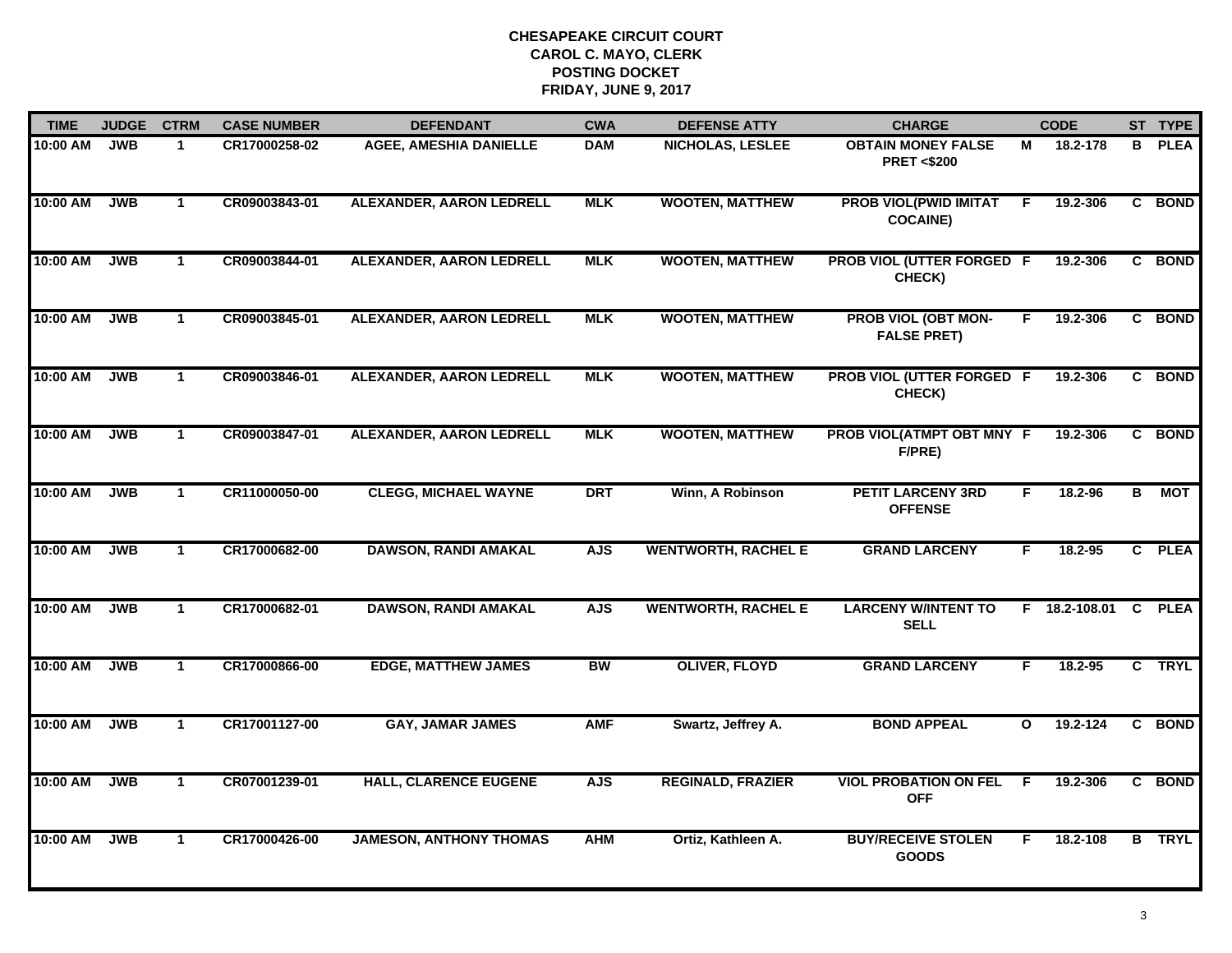| <b>TIME</b> | <b>JUDGE</b> | <b>CTRM</b>  | <b>CASE NUMBER</b> | <b>DEFENDANT</b>                | <b>CWA</b> | <b>DEFENSE ATTY</b>        | <b>CHARGE</b>                                      |              | <b>CODE</b>     |                         | ST TYPE       |
|-------------|--------------|--------------|--------------------|---------------------------------|------------|----------------------------|----------------------------------------------------|--------------|-----------------|-------------------------|---------------|
| 10:00 AM    | <b>JWB</b>   | 1            | CR17000258-02      | <b>AGEE, AMESHIA DANIELLE</b>   | <b>DAM</b> | <b>NICHOLAS, LESLEE</b>    | <b>OBTAIN MONEY FALSE</b><br><b>PRET &lt;\$200</b> | м            | 18.2-178        |                         | <b>B</b> PLEA |
| 10:00 AM    | <b>JWB</b>   | $\mathbf{1}$ | CR09003843-01      | ALEXANDER, AARON LEDRELL        | <b>MLK</b> | <b>WOOTEN, MATTHEW</b>     | <b>PROB VIOL(PWID IMITAT</b><br><b>COCAINE)</b>    | F.           | 19.2-306        |                         | C BOND        |
| 10:00 AM    | <b>JWB</b>   | $\mathbf 1$  | CR09003844-01      | ALEXANDER, AARON LEDRELL        | <b>MLK</b> | <b>WOOTEN, MATTHEW</b>     | <b>PROB VIOL (UTTER FORGED F</b><br>CHECK)         |              | 19.2-306        |                         | C BOND        |
| 10:00 AM    | <b>JWB</b>   | $\mathbf 1$  | CR09003845-01      | ALEXANDER, AARON LEDRELL        | <b>MLK</b> | <b>WOOTEN, MATTHEW</b>     | <b>PROB VIOL (OBT MON-</b><br><b>FALSE PRET)</b>   | F.           | 19.2-306        |                         | C BOND        |
| 10:00 AM    | <b>JWB</b>   | $\mathbf{1}$ | CR09003846-01      | <b>ALEXANDER, AARON LEDRELL</b> | <b>MLK</b> | <b>WOOTEN, MATTHEW</b>     | PROB VIOL (UTTER FORGED F<br>CHECK)                |              | 19.2-306        |                         | C BOND        |
| 10:00 AM    | <b>JWB</b>   | $\mathbf{1}$ | CR09003847-01      | <b>ALEXANDER, AARON LEDRELL</b> | <b>MLK</b> | <b>WOOTEN, MATTHEW</b>     | PROB VIOL(ATMPT OBT MNY F<br>F/PRE)                |              | 19.2-306        |                         | C BOND        |
| 10:00 AM    | <b>JWB</b>   | $\mathbf{1}$ | CR11000050-00      | <b>CLEGG, MICHAEL WAYNE</b>     | <b>DRT</b> | Winn, A Robinson           | <b>PETIT LARCENY 3RD</b><br><b>OFFENSE</b>         | F            | 18.2-96         | $\overline{\mathbf{B}}$ | <b>MOT</b>    |
| 10:00 AM    | <b>JWB</b>   | $\mathbf{1}$ | CR17000682-00      | <b>DAWSON, RANDI AMAKAL</b>     | <b>AJS</b> | <b>WENTWORTH, RACHEL E</b> | <b>GRAND LARCENY</b>                               | F.           | 18.2-95         |                         | C PLEA        |
| 10:00 AM    | <b>JWB</b>   | $\mathbf 1$  | CR17000682-01      | <b>DAWSON, RANDI AMAKAL</b>     | <b>AJS</b> | <b>WENTWORTH, RACHEL E</b> | <b>LARCENY W/INTENT TO</b><br><b>SELL</b>          |              | $F$ 18.2-108.01 |                         | <b>C</b> PLEA |
| 10:00 AM    | <b>JWB</b>   | $\mathbf{1}$ | CR17000866-00      | <b>EDGE, MATTHEW JAMES</b>      | <b>BW</b>  | <b>OLIVER, FLOYD</b>       | <b>GRAND LARCENY</b>                               | F.           | $18.2 - 95$     |                         | C TRYL        |
| 10:00 AM    | <b>JWB</b>   | $\mathbf{1}$ | CR17001127-00      | <b>GAY, JAMAR JAMES</b>         | <b>AMF</b> | Swartz, Jeffrey A.         | <b>BOND APPEAL</b>                                 | $\mathbf{o}$ | 19.2-124        |                         | C BOND        |
| 10:00 AM    | <b>JWB</b>   | $\mathbf{1}$ | CR07001239-01      | <b>HALL, CLARENCE EUGENE</b>    | <b>AJS</b> | <b>REGINALD, FRAZIER</b>   | <b>VIOL PROBATION ON FEL</b><br><b>OFF</b>         | F.           | 19.2-306        |                         | C BOND        |
| 10:00 AM    | <b>JWB</b>   | $\mathbf{1}$ | CR17000426-00      | <b>JAMESON, ANTHONY THOMAS</b>  | <b>AHM</b> | Ortiz, Kathleen A.         | <b>BUY/RECEIVE STOLEN</b><br><b>GOODS</b>          | F.           | 18.2-108        |                         | <b>B</b> TRYL |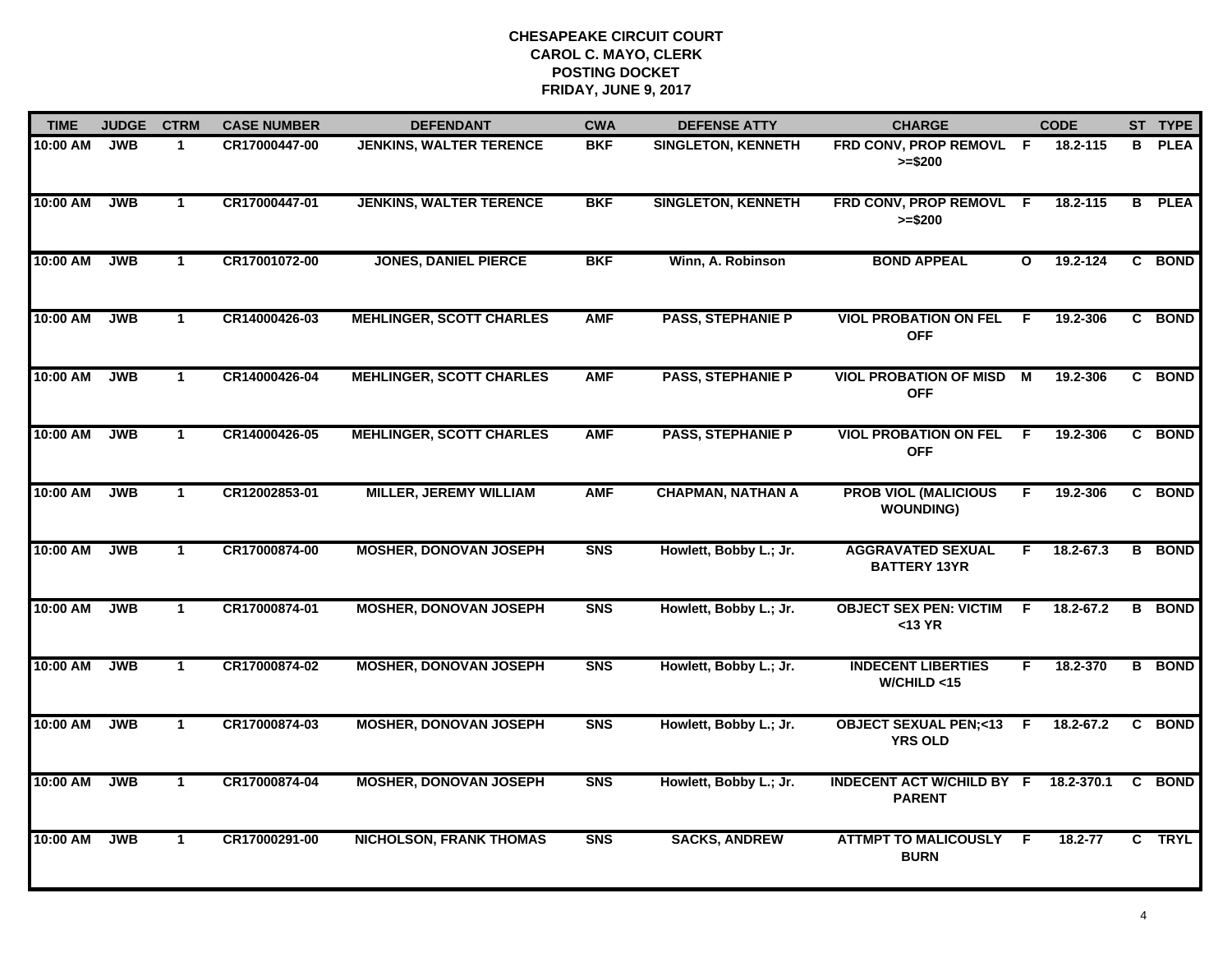| <b>TIME</b> | <b>JUDGE</b> | <b>CTRM</b>          | <b>CASE NUMBER</b> | <b>DEFENDANT</b>                | <b>CWA</b>     | <b>DEFENSE ATTY</b>       | <b>CHARGE</b>                                     |                | <b>CODE</b>  |   | ST TYPE       |
|-------------|--------------|----------------------|--------------------|---------------------------------|----------------|---------------------------|---------------------------------------------------|----------------|--------------|---|---------------|
| 10:00 AM    | <b>JWB</b>   | $\mathbf 1$          | CR17000447-00      | <b>JENKINS, WALTER TERENCE</b>  | <b>BKF</b>     | <b>SINGLETON, KENNETH</b> | FRD CONV, PROP REMOVL F<br>$>= $200$              |                | 18.2-115     | в | <b>PLEA</b>   |
| 10:00 AM    | <b>JWB</b>   | $\mathbf 1$          | CR17000447-01      | <b>JENKINS, WALTER TERENCE</b>  | <b>BKF</b>     | <b>SINGLETON, KENNETH</b> | FRD CONV, PROP REMOVL F<br>$>= $200$              |                | $18.2 - 115$ | B | <b>PLEA</b>   |
| 10:00 AM    | <b>JWB</b>   | $\mathbf 1$          | CR17001072-00      | <b>JONES, DANIEL PIERCE</b>     | <b>BKF</b>     | Winn, A. Robinson         | <b>BOND APPEAL</b>                                | $\mathbf{o}$   | 19.2-124     |   | C BOND        |
| 10:00 AM    | <b>JWB</b>   | $\mathbf 1$          | CR14000426-03      | <b>MEHLINGER, SCOTT CHARLES</b> | <b>AMF</b>     | <b>PASS, STEPHANIE P</b>  | <b>VIOL PROBATION ON FEL</b><br><b>OFF</b>        | -F             | 19.2-306     |   | C BOND        |
| 10:00 AM    | <b>JWB</b>   | $\mathbf{1}$         | CR14000426-04      | <b>MEHLINGER, SCOTT CHARLES</b> | <b>AMF</b>     | <b>PASS, STEPHANIE P</b>  | <b>VIOL PROBATION OF MISD</b><br><b>OFF</b>       | М              | 19.2-306     |   | C BOND        |
| 10:00 AM    | <b>JWB</b>   | $\mathbf 1$          | CR14000426-05      | <b>MEHLINGER, SCOTT CHARLES</b> | <b>AMF</b>     | <b>PASS, STEPHANIE P</b>  | <b>VIOL PROBATION ON FEL</b><br><b>OFF</b>        | E              | 19.2-306     |   | C BOND        |
| 10:00 AM    | <b>JWB</b>   | $\mathbf{1}$         | CR12002853-01      | <b>MILLER, JEREMY WILLIAM</b>   | <b>AMF</b>     | <b>CHAPMAN, NATHAN A</b>  | <b>PROB VIOL (MALICIOUS</b><br><b>WOUNDING)</b>   | $\overline{F}$ | 19.2-306     |   | C BOND        |
| 10:00 AM    | <b>JWB</b>   | $\mathbf{1}$         | CR17000874-00      | <b>MOSHER, DONOVAN JOSEPH</b>   | <b>SNS</b>     | Howlett, Bobby L.; Jr.    | <b>AGGRAVATED SEXUAL</b><br><b>BATTERY 13YR</b>   | F              | 18.2-67.3    | B | <b>BOND</b>   |
| 10:00 AM    | <b>JWB</b>   | $\blacktriangleleft$ | CR17000874-01      | <b>MOSHER, DONOVAN JOSEPH</b>   | S <sub>N</sub> | Howlett, Bobby L.; Jr.    | <b>OBJECT SEX PEN: VICTIM</b><br>$<$ 13 YR        | -F             | 18.2-67.2    | B | <b>BOND</b>   |
| 10:00 AM    | <b>JWB</b>   | $\mathbf{1}$         | CR17000874-02      | <b>MOSHER, DONOVAN JOSEPH</b>   | S <sub>N</sub> | Howlett, Bobby L.; Jr.    | <b>INDECENT LIBERTIES</b><br>W/CHILD < 15         | F.             | 18.2-370     |   | <b>B</b> BOND |
| 10:00 AM    | <b>JWB</b>   | $\mathbf{1}$         | CR17000874-03      | <b>MOSHER, DONOVAN JOSEPH</b>   | <b>SNS</b>     | Howlett, Bobby L.; Jr.    | <b>OBJECT SEXUAL PEN;&lt;13</b><br><b>YRS OLD</b> | -F.            | 18.2-67.2    | C | <b>BOND</b>   |
| 10:00 AM    | <b>JWB</b>   | $\mathbf{1}$         | CR17000874-04      | <b>MOSHER, DONOVAN JOSEPH</b>   | S <sub>N</sub> | Howlett, Bobby L.; Jr.    | <b>INDECENT ACT W/CHILD BY F</b><br><b>PARENT</b> |                | 18.2-370.1   |   | C BOND        |
| 10:00 AM    | <b>JWB</b>   | $\mathbf 1$          | CR17000291-00      | <b>NICHOLSON, FRANK THOMAS</b>  | <b>SNS</b>     | <b>SACKS, ANDREW</b>      | <b>ATTMPT TO MALICOUSLY F</b><br><b>BURN</b>      |                | 18.2-77      | C | <b>TRYL</b>   |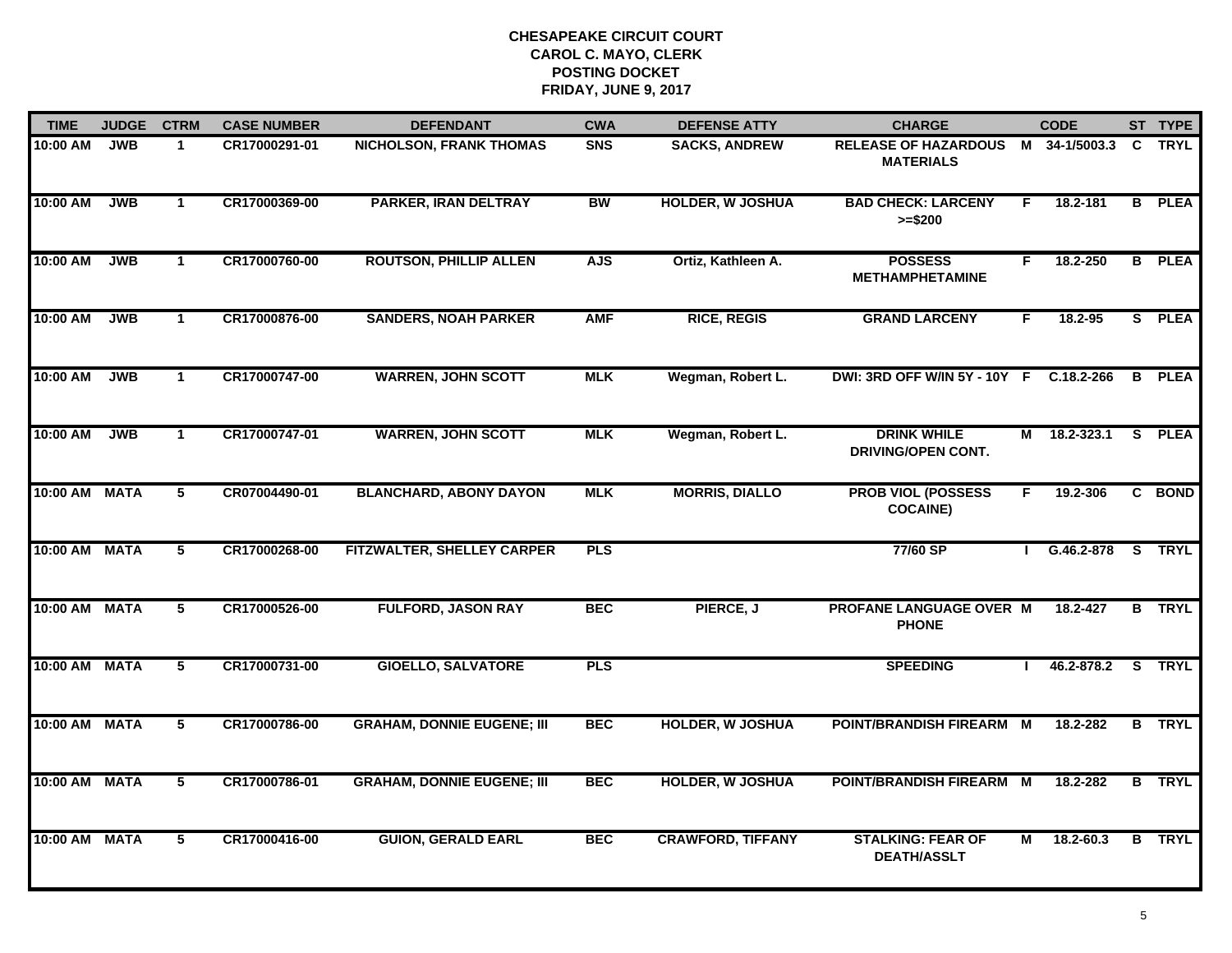| <b>TIME</b>   | <b>JUDGE</b> | <b>CTRM</b>             | <b>CASE NUMBER</b> | <b>DEFENDANT</b>                  | <b>CWA</b> | <b>DEFENSE ATTY</b>      | <b>CHARGE</b>                                   |                | <b>CODE</b>        |    | ST TYPE       |
|---------------|--------------|-------------------------|--------------------|-----------------------------------|------------|--------------------------|-------------------------------------------------|----------------|--------------------|----|---------------|
| 10:00 AM      | <b>JWB</b>   | $\mathbf 1$             | CR17000291-01      | <b>NICHOLSON, FRANK THOMAS</b>    | <b>SNS</b> | <b>SACKS, ANDREW</b>     | <b>RELEASE OF HAZARDOUS</b><br><b>MATERIALS</b> |                | M 34-1/5003.3      | C. | TRYL          |
| 10:00 AM      | <b>JWB</b>   | $\mathbf{1}$            | CR17000369-00      | PARKER, IRAN DELTRAY              | BW         | <b>HOLDER, W JOSHUA</b>  | <b>BAD CHECK: LARCENY</b><br>$>= $200$          | F.             | 18.2-181           |    | <b>B</b> PLEA |
| 10:00 AM      | <b>JWB</b>   | $\mathbf{1}$            | CR17000760-00      | <b>ROUTSON, PHILLIP ALLEN</b>     | <b>AJS</b> | Ortiz, Kathleen A.       | <b>POSSESS</b><br><b>METHAMPHETAMINE</b>        | F              | 18.2-250           |    | <b>B</b> PLEA |
| 10:00 AM      | <b>JWB</b>   | $\mathbf{1}$            | CR17000876-00      | <b>SANDERS, NOAH PARKER</b>       | <b>AMF</b> | <b>RICE, REGIS</b>       | <b>GRAND LARCENY</b>                            | F.             | $18.2 - 95$        |    | S PLEA        |
| 10:00 AM      | <b>JWB</b>   | $\mathbf{1}$            | CR17000747-00      | <b>WARREN, JOHN SCOTT</b>         | <b>MLK</b> | Wegman, Robert L.        | DWI: 3RD OFF W/IN 5Y - 10Y F C.18.2-266         |                |                    |    | <b>B</b> PLEA |
| 10:00 AM      | <b>JWB</b>   | $\mathbf{1}$            | CR17000747-01      | <b>WARREN, JOHN SCOTT</b>         | <b>MLK</b> | Wegman, Robert L.        | <b>DRINK WHILE</b><br>DRIVING/OPEN CONT.        |                | $M = 18.2 - 323.1$ |    | S PLEA        |
| 10:00 AM MATA |              | $\overline{\mathbf{5}}$ | CR07004490-01      | <b>BLANCHARD, ABONY DAYON</b>     | <b>MLK</b> | <b>MORRIS, DIALLO</b>    | <b>PROB VIOL (POSSESS</b><br><b>COCAINE)</b>    | F.             | 19.2-306           |    | C BOND        |
| 10:00 AM MATA |              | 5                       | CR17000268-00      | FITZWALTER, SHELLEY CARPER        | <b>PLS</b> |                          | 77/60 SP                                        |                | G.46.2-878         |    | S TRYL        |
| 10:00 AM MATA |              | 5                       | CR17000526-00      | <b>FULFORD, JASON RAY</b>         | <b>BEC</b> | PIERCE, J                | PROFANE LANGUAGE OVER M<br><b>PHONE</b>         |                | 18.2-427           |    | <b>B</b> TRYL |
| 10:00 AM MATA |              | 5                       | CR17000731-00      | <b>GIOELLO, SALVATORE</b>         | <b>PLS</b> |                          | <b>SPEEDING</b>                                 |                | 46.2-878.2         |    | S TRYL        |
| 10:00 AM MATA |              | 5                       | CR17000786-00      | <b>GRAHAM, DONNIE EUGENE; III</b> | <b>BEC</b> | <b>HOLDER, W JOSHUA</b>  | POINT/BRANDISH FIREARM M                        |                | 18.2-282           |    | <b>B</b> TRYL |
| 10:00 AM MATA |              | $\overline{5}$          | CR17000786-01      | <b>GRAHAM, DONNIE EUGENE; III</b> | <b>BEC</b> | <b>HOLDER, W JOSHUA</b>  | <b>POINT/BRANDISH FIREARM</b>                   | $\overline{M}$ | 18.2-282           |    | <b>B</b> TRYL |
| 10:00 AM MATA |              | 5                       | CR17000416-00      | <b>GUION, GERALD EARL</b>         | <b>BEC</b> | <b>CRAWFORD, TIFFANY</b> | <b>STALKING: FEAR OF</b><br><b>DEATH/ASSLT</b>  | Μ              | 18.2-60.3          |    | <b>B</b> TRYL |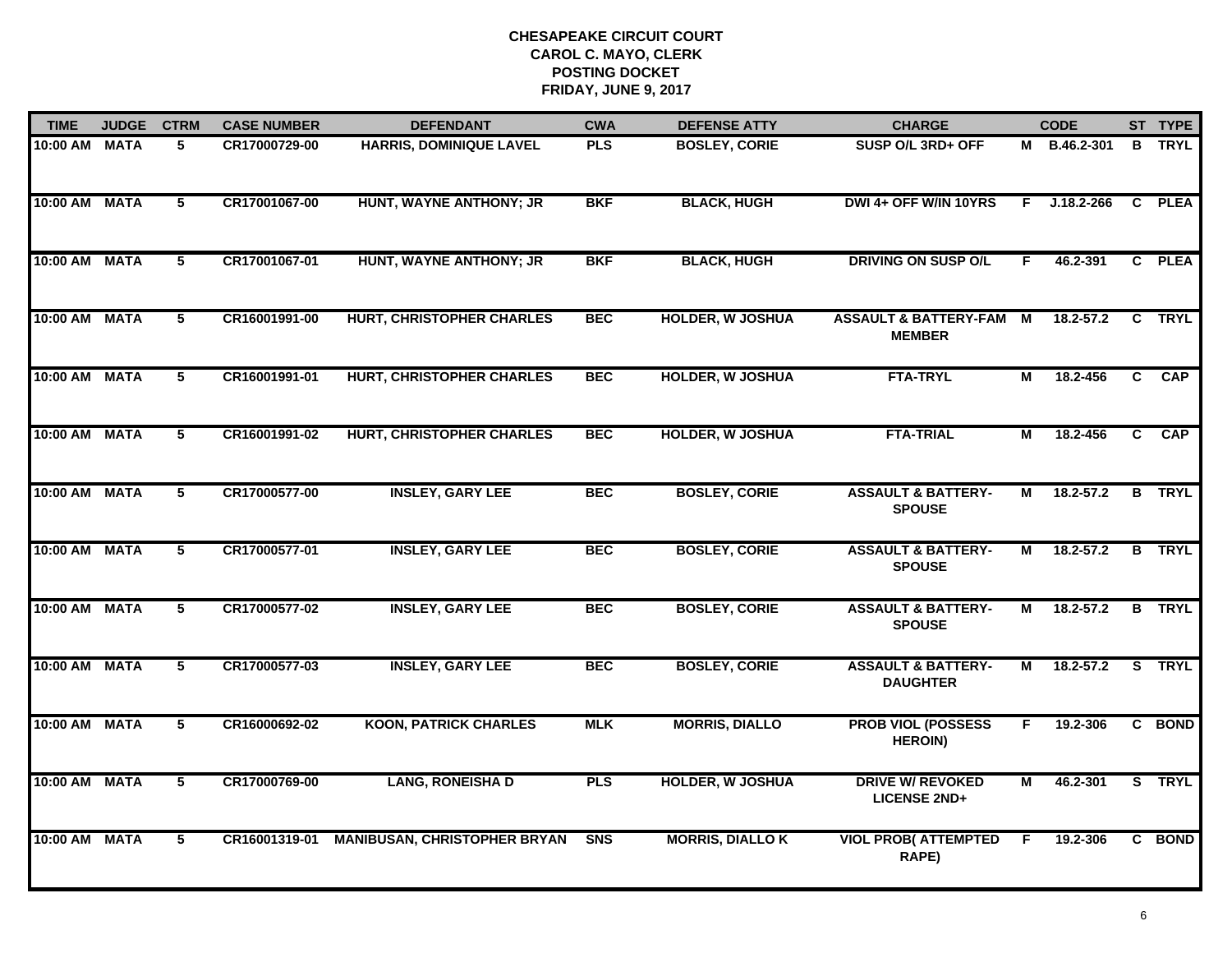| <b>TIME</b>   | <b>JUDGE</b> | <b>CTRM</b>     | <b>CASE NUMBER</b> | <b>DEFENDANT</b>                    | <b>CWA</b> | <b>DEFENSE ATTY</b>     | <b>CHARGE</b>                                       |                | <b>CODE</b>    |                | ST TYPE       |
|---------------|--------------|-----------------|--------------------|-------------------------------------|------------|-------------------------|-----------------------------------------------------|----------------|----------------|----------------|---------------|
| 10:00 AM MATA |              | 5               | CR17000729-00      | <b>HARRIS, DOMINIQUE LAVEL</b>      | <b>PLS</b> | <b>BOSLEY, CORIE</b>    | SUSP O/L 3RD+ OFF                                   |                | M B.46.2-301   |                | <b>B</b> TRYL |
| 10:00 AM MATA |              | $5\phantom{.0}$ | CR17001067-00      | HUNT, WAYNE ANTHONY; JR             | <b>BKF</b> | <b>BLACK, HUGH</b>      | DWI 4+ OFF W/IN 10YRS                               | F.             | $J.18.2 - 266$ |                | C PLEA        |
| 10:00 AM MATA |              | 5               | CR17001067-01      | HUNT, WAYNE ANTHONY; JR             | <b>BKF</b> | <b>BLACK, HUGH</b>      | <b>DRIVING ON SUSP O/L</b>                          | F.             | 46.2-391       |                | C PLEA        |
| 10:00 AM MATA |              | 5               | CR16001991-00      | <b>HURT, CHRISTOPHER CHARLES</b>    | <b>BEC</b> | <b>HOLDER, W JOSHUA</b> | <b>ASSAULT &amp; BATTERY-FAM M</b><br><b>MEMBER</b> |                | $18.2 - 57.2$  | $\mathbf{c}$   | <b>TRYL</b>   |
| 10:00 AM MATA |              | 5               | CR16001991-01      | <b>HURT, CHRISTOPHER CHARLES</b>    | <b>BEC</b> | <b>HOLDER, W JOSHUA</b> | <b>FTA-TRYL</b>                                     | М              | 18.2-456       | C.             | <b>CAP</b>    |
| 10:00 AM MATA |              | 5               | CR16001991-02      | <b>HURT, CHRISTOPHER CHARLES</b>    | <b>BEC</b> | <b>HOLDER, W JOSHUA</b> | <b>FTA-TRIAL</b>                                    | М              | 18.2-456       | $\overline{c}$ | CAP           |
| 10:00 AM MATA |              | $\overline{5}$  | CR17000577-00      | <b>INSLEY, GARY LEE</b>             | <b>BEC</b> | <b>BOSLEY, CORIE</b>    | <b>ASSAULT &amp; BATTERY-</b><br><b>SPOUSE</b>      | $\overline{M}$ | $18.2 - 57.2$  |                | <b>B</b> TRYL |
| 10:00 AM MATA |              | 5               | CR17000577-01      | <b>INSLEY, GARY LEE</b>             | <b>BEC</b> | <b>BOSLEY, CORIE</b>    | <b>ASSAULT &amp; BATTERY-</b><br><b>SPOUSE</b>      | м              | $18.2 - 57.2$  |                | <b>B</b> TRYL |
| 10:00 AM MATA |              | 5               | CR17000577-02      | <b>INSLEY, GARY LEE</b>             | <b>BEC</b> | <b>BOSLEY, CORIE</b>    | <b>ASSAULT &amp; BATTERY-</b><br><b>SPOUSE</b>      | М              | 18.2-57.2      |                | <b>B</b> TRYL |
| 10:00 AM MATA |              | 5               | CR17000577-03      | <b>INSLEY, GARY LEE</b>             | <b>BEC</b> | <b>BOSLEY, CORIE</b>    | <b>ASSAULT &amp; BATTERY-</b><br><b>DAUGHTER</b>    | М              | $18.2 - 57.2$  |                | S TRYL        |
| 10:00 AM MATA |              | 5               | CR16000692-02      | <b>KOON, PATRICK CHARLES</b>        | <b>MLK</b> | <b>MORRIS, DIALLO</b>   | <b>PROB VIOL (POSSESS</b><br><b>HEROIN)</b>         | F.             | 19.2-306       |                | C BOND        |
| 10:00 AM MATA |              | $\overline{5}$  | CR17000769-00      | <b>LANG, RONEISHA D</b>             | <b>PLS</b> | <b>HOLDER, W JOSHUA</b> | <b>DRIVE W/ REVOKED</b><br><b>LICENSE 2ND+</b>      | М              | 46.2-301       |                | S TRYL        |
| 10:00 AM MATA |              | 5               | CR16001319-01      | <b>MANIBUSAN, CHRISTOPHER BRYAN</b> | <b>SNS</b> | <b>MORRIS, DIALLO K</b> | <b>VIOL PROB( ATTEMPTED</b><br>RAPE)                | F.             | 19.2-306       |                | C BOND        |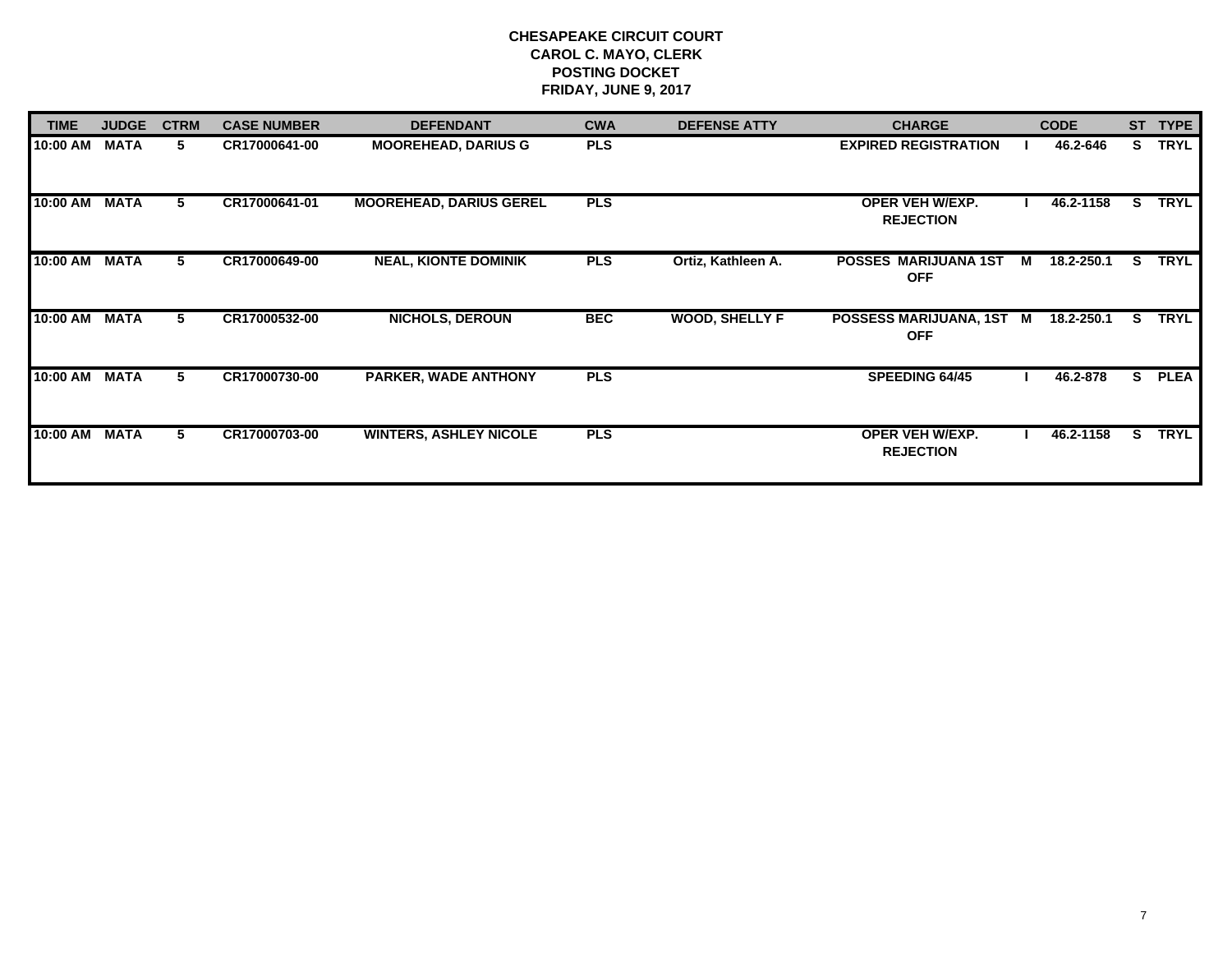| <b>TIME</b> | <b>JUDGE</b> | <b>CTRM</b> | <b>CASE NUMBER</b> | <b>DEFENDANT</b>               | <b>CWA</b> | <b>DEFENSE ATTY</b>   | <b>CHARGE</b>                              |   | <b>CODE</b> | <b>ST</b> | <b>TYPE</b> |
|-------------|--------------|-------------|--------------------|--------------------------------|------------|-----------------------|--------------------------------------------|---|-------------|-----------|-------------|
| 10:00 AM    | <b>MATA</b>  | 5.          | CR17000641-00      | <b>MOOREHEAD, DARIUS G</b>     | <b>PLS</b> |                       | <b>EXPIRED REGISTRATION</b>                |   | 46.2-646    | S.        | <b>TRYL</b> |
| 10:00 AM    | <b>MATA</b>  | 5           | CR17000641-01      | <b>MOOREHEAD, DARIUS GEREL</b> | <b>PLS</b> |                       | <b>OPER VEH W/EXP.</b><br><b>REJECTION</b> |   | 46.2-1158   | S.        | <b>TRYL</b> |
| 10:00 AM    | <b>MATA</b>  | 5           | CR17000649-00      | <b>NEAL, KIONTE DOMINIK</b>    | <b>PLS</b> | Ortiz, Kathleen A.    | <b>POSSES MARIJUANA 1ST</b><br><b>OFF</b>  | M | 18.2-250.1  | S.        | <b>TRYL</b> |
| 10:00 AM    | <b>MATA</b>  | 5           | CR17000532-00      | <b>NICHOLS, DEROUN</b>         | <b>BEC</b> | <b>WOOD, SHELLY F</b> | POSSESS MARIJUANA, 1ST M<br><b>OFF</b>     |   | 18.2-250.1  | S.        | <b>TRYL</b> |
| 10:00 AM    | <b>MATA</b>  | 5           | CR17000730-00      | PARKER, WADE ANTHONY           | <b>PLS</b> |                       | <b>SPEEDING 64/45</b>                      |   | 46.2-878    | s         | <b>PLEA</b> |
| 10:00 AM    | <b>MATA</b>  | 5.          | CR17000703-00      | <b>WINTERS, ASHLEY NICOLE</b>  | <b>PLS</b> |                       | <b>OPER VEH W/EXP.</b><br><b>REJECTION</b> |   | 46.2-1158   | s         | <b>TRYL</b> |